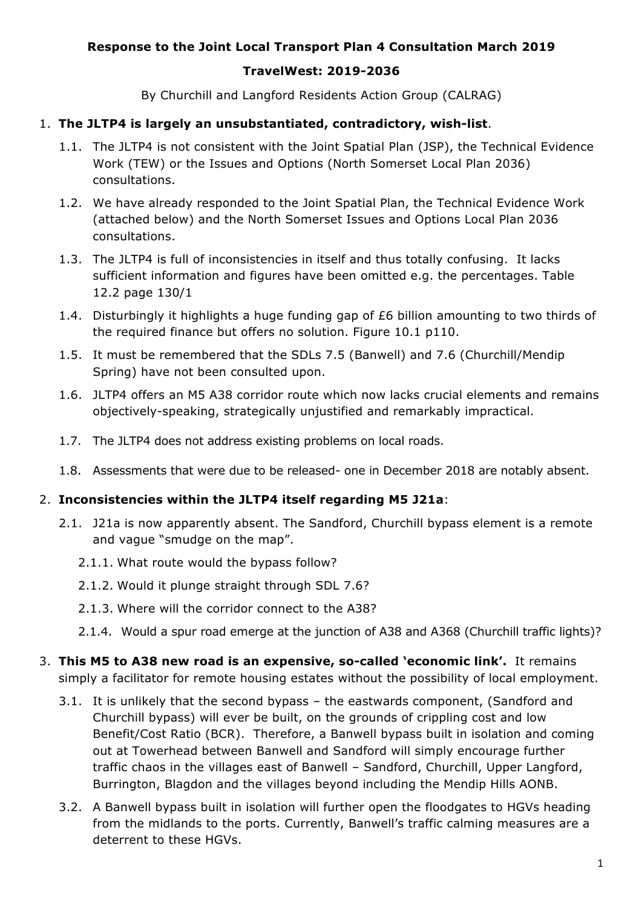## **Response to the Joint Local Transport Plan 4 Consultation March 2019**

### **TravelWest: 2019-2036**

By Churchill and Langford Residents Action Group (CALRAG)

#### 1. **The JLTP4 is largely an unsubstantiated, contradictory, wish-list**.

- 1.1. The JLTP4 is not consistent with the Joint Spatial Plan (JSP), the Technical Evidence Work (TEW) or the Issues and Options (North Somerset Local Plan 2036) consultations.
- 1.2. We have already responded to the Joint Spatial Plan, the Technical Evidence Work (attached below) and the North Somerset Issues and Options Local Plan 2036 consultations.
- 1.3. The JLTP4 is full of inconsistencies in itself and thus totally confusing. It lacks sufficient information and figures have been omitted e.g. the percentages. Table 12.2 page 130/1
- 1.4. Disturbingly it highlights a huge funding gap of £6 billion amounting to two thirds of the required finance but offers no solution. Figure 10.1 p110.
- 1.5. It must be remembered that the SDLs 7.5 (Banwell) and 7.6 (Churchill/Mendip Spring) have not been consulted upon.
- 1.6. JLTP4 offers an M5 A38 corridor route which now lacks crucial elements and remains objectively-speaking, strategically unjustified and remarkably impractical.
- 1.7. The JLTP4 does not address existing problems on local roads.
- 1.8. Assessments that were due to be released- one in December 2018 are notably absent.

#### 2. **Inconsistencies within the JLTP4 itself regarding M5 J21a**:

- 2.1. J21a is now apparently absent. The Sandford, Churchill bypass element is a remote and vague "smudge on the map".
	- 2.1.1. What route would the bypass follow?
	- 2.1.2. Would it plunge straight through SDL 7.6?
	- 2.1.3. Where will the corridor connect to the A38?
	- 2.1.4. Would a spur road emerge at the junction of A38 and A368 (Churchill traffic lights)?
- 3. **This M5 to A38 new road is an expensive, so-called 'economic link'.** It remains simply a facilitator for remote housing estates without the possibility of local employment.
	- 3.1. It is unlikely that the second bypass the eastwards component, (Sandford and Churchill bypass) will ever be built, on the grounds of crippling cost and low Benefit/Cost Ratio (BCR). Therefore, a Banwell bypass built in isolation and coming out at Towerhead between Banwell and Sandford will simply encourage further traffic chaos in the villages east of Banwell – Sandford, Churchill, Upper Langford, Burrington, Blagdon and the villages beyond including the Mendip Hills AONB.
	- 3.2. A Banwell bypass built in isolation will further open the floodgates to HGVs heading from the midlands to the ports. Currently, Banwell's traffic calming measures are a deterrent to these HGVs.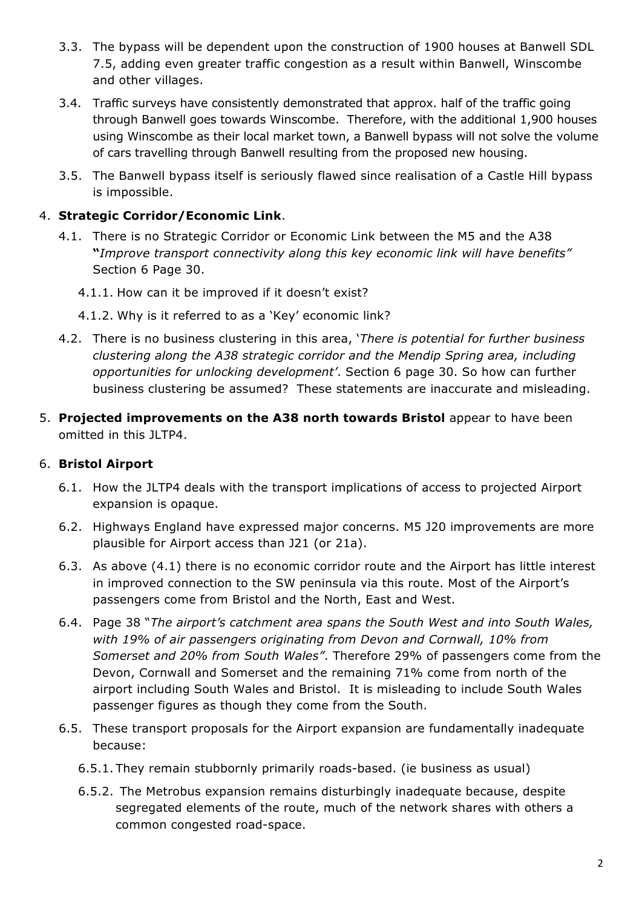- 3.3. The bypass will be dependent upon the construction of 1900 houses at Banwell SDL 7.5, adding even greater traffic congestion as a result within Banwell, Winscombe and other villages.
- 3.4. Traffic surveys have consistently demonstrated that approx. half of the traffic going through Banwell goes towards Winscombe. Therefore, with the additional 1,900 houses using Winscombe as their local market town, a Banwell bypass will not solve the volume of cars travelling through Banwell resulting from the proposed new housing.
- 3.5. The Banwell bypass itself is seriously flawed since realisation of a Castle Hill bypass is impossible.

## 4. **Strategic Corridor/Economic Link**.

- 4.1. There is no Strategic Corridor or Economic Link between the M5 and the A38 **"***Improve transport connectivity along this key economic link will have benefits"* Section 6 Page 30.
	- 4.1.1. How can it be improved if it doesn't exist?
	- 4.1.2. Why is it referred to as a 'Key' economic link?
- 4.2. There is no business clustering in this area, '*There is potential for further business clustering along the A38 strategic corridor and the Mendip Spring area, including opportunities for unlocking development'*. Section 6 page 30. So how can further business clustering be assumed? These statements are inaccurate and misleading.
- 5. **Projected improvements on the A38 north towards Bristol** appear to have been omitted in this JLTP4.

# 6. **Bristol Airport**

- 6.1. How the JLTP4 deals with the transport implications of access to projected Airport expansion is opaque.
- 6.2. Highways England have expressed major concerns. M5 J20 improvements are more plausible for Airport access than J21 (or 21a).
- 6.3. As above (4.1) there is no economic corridor route and the Airport has little interest in improved connection to the SW peninsula via this route. Most of the Airport's passengers come from Bristol and the North, East and West.
- 6.4. Page 38 "*The airport's catchment area spans the South West and into South Wales, with 19% of air passengers originating from Devon and Cornwall, 10% from Somerset and 20% from South Wales"*. Therefore 29% of passengers come from the Devon, Cornwall and Somerset and the remaining 71% come from north of the airport including South Wales and Bristol. It is misleading to include South Wales passenger figures as though they come from the South.
- 6.5. These transport proposals for the Airport expansion are fundamentally inadequate because:
	- 6.5.1. They remain stubbornly primarily roads-based. (ie business as usual)
	- 6.5.2. The Metrobus expansion remains disturbingly inadequate because, despite segregated elements of the route, much of the network shares with others a common congested road-space.